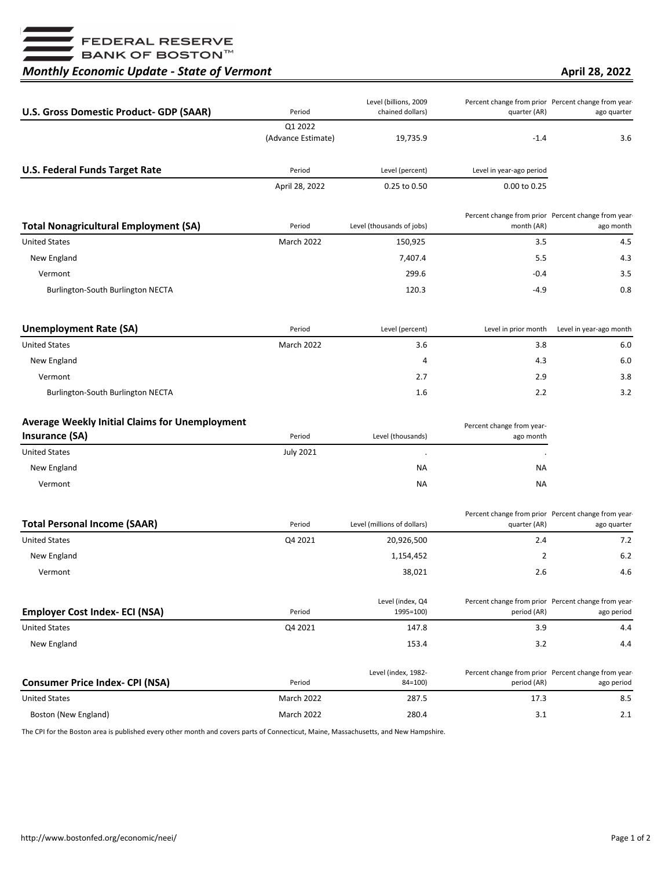■<br>■ FEDERAL RESERVE<br>■ BANK OF BOSTON™

## *Monthly Economic Update - State of Vermont*

**April 28, 2022**

| <b>U.S. Gross Domestic Product- GDP (SAAR)</b>        | Period             | Level (billions, 2009<br>chained dollars) | quarter (AR)              | Percent change from prior Percent change from year-<br>ago quarter |
|-------------------------------------------------------|--------------------|-------------------------------------------|---------------------------|--------------------------------------------------------------------|
|                                                       | Q1 2022            |                                           |                           |                                                                    |
|                                                       | (Advance Estimate) | 19,735.9                                  | $-1.4$                    | 3.6                                                                |
| <b>U.S. Federal Funds Target Rate</b>                 | Period             | Level (percent)                           | Level in year-ago period  |                                                                    |
|                                                       | April 28, 2022     | 0.25 to 0.50                              | 0.00 to 0.25              |                                                                    |
| <b>Total Nonagricultural Employment (SA)</b>          | Period             | Level (thousands of jobs)                 | month (AR)                | Percent change from prior Percent change from year-<br>ago month   |
| <b>United States</b>                                  | <b>March 2022</b>  | 150,925                                   | 3.5                       | 4.5                                                                |
| New England                                           |                    | 7,407.4                                   | 5.5                       | 4.3                                                                |
| Vermont                                               |                    | 299.6                                     | $-0.4$                    | 3.5                                                                |
| Burlington-South Burlington NECTA                     |                    | 120.3                                     | $-4.9$                    | 0.8                                                                |
| <b>Unemployment Rate (SA)</b>                         | Period             | Level (percent)                           | Level in prior month      | Level in year-ago month                                            |
| <b>United States</b>                                  | March 2022         | 3.6                                       | 3.8                       | 6.0                                                                |
| New England                                           |                    | 4                                         | 4.3                       | 6.0                                                                |
| Vermont                                               |                    | 2.7                                       | 2.9                       | 3.8                                                                |
| Burlington-South Burlington NECTA                     |                    | 1.6                                       | 2.2                       | 3.2                                                                |
| <b>Average Weekly Initial Claims for Unemployment</b> |                    |                                           | Percent change from year- |                                                                    |
| <b>Insurance (SA)</b>                                 | Period             | Level (thousands)                         | ago month                 |                                                                    |
| <b>United States</b>                                  | <b>July 2021</b>   | $\cdot$                                   |                           |                                                                    |
| New England                                           |                    | ΝA                                        | NА                        |                                                                    |
| Vermont                                               |                    | ΝA                                        | NА                        |                                                                    |
| <b>Total Personal Income (SAAR)</b>                   | Period             | Level (millions of dollars)               | quarter (AR)              | Percent change from prior Percent change from year-<br>ago quarter |
| <b>United States</b>                                  | Q4 2021            | 20,926,500                                | 2.4                       | 7.2                                                                |
| New England                                           |                    | 1,154,452                                 | 2                         | 6.2                                                                |
| Vermont                                               |                    | 38,021                                    | 2.6                       | 4.6                                                                |
| <b>Employer Cost Index- ECI (NSA)</b>                 | Period             | Level (index, Q4<br>1995=100)             | period (AR)               | Percent change from prior Percent change from year-<br>ago period  |
| <b>United States</b>                                  | Q4 2021            | 147.8                                     | 3.9                       | 4.4                                                                |
| New England                                           |                    | 153.4                                     | 3.2                       | 4.4                                                                |
| <b>Consumer Price Index- CPI (NSA)</b>                | Period             | Level (index, 1982-<br>$84 = 100$         | period (AR)               | Percent change from prior Percent change from year-<br>ago period  |
| <b>United States</b>                                  | March 2022         | 287.5                                     | 17.3                      | 8.5                                                                |
| Boston (New England)                                  | March 2022         | 280.4                                     | 3.1                       | 2.1                                                                |

The CPI for the Boston area is published every other month and covers parts of Connecticut, Maine, Massachusetts, and New Hampshire.